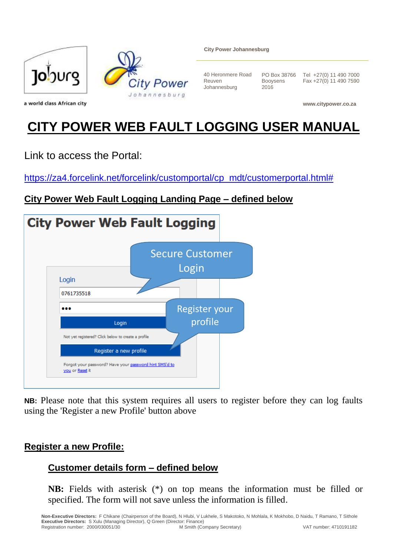

**City Power Johannesburg**

40 Heronmere Road Reuven Johannesburg

PO Box 38766 Booysens 2016

Tel +27(0) 11 490 7000 Fax +27(0) 11 490 7590

**www.citypower.co.za**

# **CITY POWER WEB FAULT LOGGING USER MANUAL**

Link to access the Portal:

[https://za4.forcelink.net/forcelink/customportal/cp\\_mdt/customerportal.html#](https://za4.forcelink.net/forcelink/customportal/cp_mdt/customerportal.html)

## **City Power Web Fault Logging Landing Page – defined below**



**NB:** Please note that this system requires all users to register before they can log faults using the 'Register a new Profile' button above

#### **Register a new Profile:**

### **Customer details form – defined below**

**NB:** Fields with asterisk (\*) on top means the information must be filled or specified. The form will not save unless the information is filled.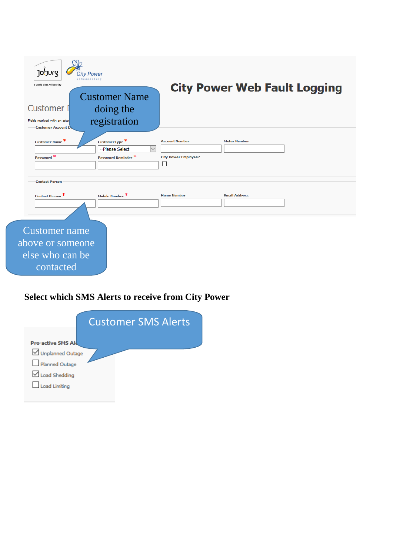| Joburg<br><b>City Power</b><br>obannesburg<br>a world class African city |                                                                                    |                                                           | <b>City Power Web Fault Logging</b> |  |
|--------------------------------------------------------------------------|------------------------------------------------------------------------------------|-----------------------------------------------------------|-------------------------------------|--|
| <b>Customer</b> I<br>Fields marked with an aster                         | <b>Customer Name</b><br>doing the<br>registration                                  |                                                           |                                     |  |
| <b>Customer Account D</b><br>Customer Name <sup>*</sup><br>Password *    | CustomerType <sup>*</sup><br>--Please Select<br>$\check{~}$<br>Password Reminder * | <b>Account Number</b><br><b>City Power Employee?</b><br>ப | <b>Meter Number</b>                 |  |
| <b>Contact Person</b><br>Contact Person <sup>*</sup>                     | Mobile Number <sup>*</sup>                                                         | <b>Home Number</b>                                        | <b>Email Address</b>                |  |
| <b>Customer</b> name<br>above or someone<br>else who can be<br>contacted |                                                                                    |                                                           |                                     |  |

## **Select which SMS Alerts to receive from City Power**